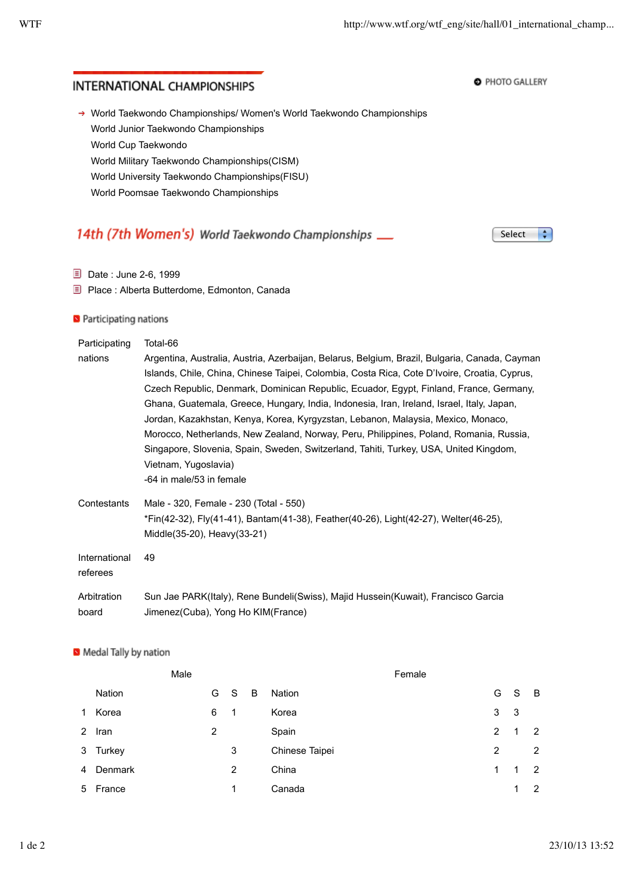**O** PHOTO GALLERY

# **INTERNATIONAL CHAMPIONSHIPS**

→ World Taekwondo Championships/ Women's World Taekwondo Championships World Junior Taekwondo Championships World Cup Taekwondo World Military Taekwondo Championships(CISM) World University Taekwondo Championships(FISU) World Poomsae Taekwondo Championships

#### 14th (7th Women's) World Taekwondo Championships \_\_ Select  $\left| \cdot \right|$

- Date : June 2-6, 1999
- Place : Alberta Butterdome, Edmonton, Canada

### **D** Participating nations

| Participating<br>nations  | Total-66<br>Argentina, Australia, Austria, Azerbaijan, Belarus, Belgium, Brazil, Bulgaria, Canada, Cayman<br>Islands, Chile, China, Chinese Taipei, Colombia, Costa Rica, Cote D'Ivoire, Croatia, Cyprus,<br>Czech Republic, Denmark, Dominican Republic, Ecuador, Egypt, Finland, France, Germany,<br>Ghana, Guatemala, Greece, Hungary, India, Indonesia, Iran, Ireland, Israel, Italy, Japan,<br>Jordan, Kazakhstan, Kenya, Korea, Kyrgyzstan, Lebanon, Malaysia, Mexico, Monaco,<br>Morocco, Netherlands, New Zealand, Norway, Peru, Philippines, Poland, Romania, Russia,<br>Singapore, Slovenia, Spain, Sweden, Switzerland, Tahiti, Turkey, USA, United Kingdom,<br>Vietnam, Yugoslavia)<br>-64 in male/53 in female |
|---------------------------|-----------------------------------------------------------------------------------------------------------------------------------------------------------------------------------------------------------------------------------------------------------------------------------------------------------------------------------------------------------------------------------------------------------------------------------------------------------------------------------------------------------------------------------------------------------------------------------------------------------------------------------------------------------------------------------------------------------------------------|
| Contestants               | Male - 320, Female - 230 (Total - 550)<br>*Fin(42-32), Fly(41-41), Bantam(41-38), Feather(40-26), Light(42-27), Welter(46-25),<br>Middle(35-20), Heavy(33-21)                                                                                                                                                                                                                                                                                                                                                                                                                                                                                                                                                               |
| International<br>referees | 49                                                                                                                                                                                                                                                                                                                                                                                                                                                                                                                                                                                                                                                                                                                          |
| Arbitration<br>board      | Sun Jae PARK(Italy), Rene Bundeli(Swiss), Majid Hussein(Kuwait), Francisco Garcia<br>Jimenez (Cuba), Yong Ho KIM (France)                                                                                                                                                                                                                                                                                                                                                                                                                                                                                                                                                                                                   |

#### Medal Tally by nation

|           |          | Male |   |   |   |                | Female |                |             |                |
|-----------|----------|------|---|---|---|----------------|--------|----------------|-------------|----------------|
|           | Nation   |      | G | S | B | Nation         |        | G              | $\mathbf S$ | - B            |
| $1 \quad$ | Korea    |      | 6 | 1 |   | Korea          |        | 3              | -3          |                |
|           | 2 Iran   |      | 2 |   |   | Spain          |        | $\overline{2}$ | 1           | $\overline{2}$ |
|           | 3 Turkey |      |   | 3 |   | Chinese Taipei |        | 2              |             | 2              |
| 4         | Denmark  |      |   | 2 |   | China          |        | 1              | 1           | $\overline{2}$ |
| 5         | France   |      |   | 1 |   | Canada         |        |                | 1           | 2              |